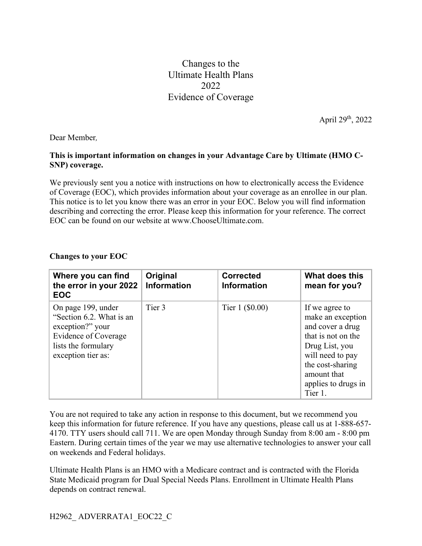Changes to the Ultimate Health Plans 2022 Evidence of Coverage

April 29th, 2022

Dear Member*,*

## **This is important information on changes in your Advantage Care by Ultimate (HMO C-SNP) coverage.**

We previously sent you a notice with instructions on how to electronically access the Evidence of Coverage (EOC), which provides information about your coverage as an enrollee in our plan. This notice is to let you know there was an error in your EOC. Below you will find information describing and correcting the error. Please keep this information for your reference. The correct EOC can be found on our website at www.ChooseUltimate.com.

## **Changes to your EOC**

| Where you can find<br>the error in your 2022<br><b>EOC</b>                                                                                     | Original<br><b>Information</b> | <b>Corrected</b><br><b>Information</b> | What does this<br>mean for you?                                                                                                                                                          |
|------------------------------------------------------------------------------------------------------------------------------------------------|--------------------------------|----------------------------------------|------------------------------------------------------------------------------------------------------------------------------------------------------------------------------------------|
| On page 199, under<br>"Section 6.2. What is an<br>exception?" your<br><b>Evidence of Coverage</b><br>lists the formulary<br>exception tier as: | Tier 3                         | Tier $1$ (\$0.00)                      | If we agree to<br>make an exception<br>and cover a drug<br>that is not on the<br>Drug List, you<br>will need to pay<br>the cost-sharing<br>amount that<br>applies to drugs in<br>Tier 1. |

You are not required to take any action in response to this document, but we recommend you keep this information for future reference. If you have any questions, please call us at 1-888-657- 4170. TTY users should call 711. We are open Monday through Sunday from 8:00 am - 8:00 pm Eastern. During certain times of the year we may use alternative technologies to answer your call on weekends and Federal holidays.

Ultimate Health Plans is an HMO with a Medicare contract and is contracted with the Florida State Medicaid program for Dual Special Needs Plans. Enrollment in Ultimate Health Plans depends on contract renewal.